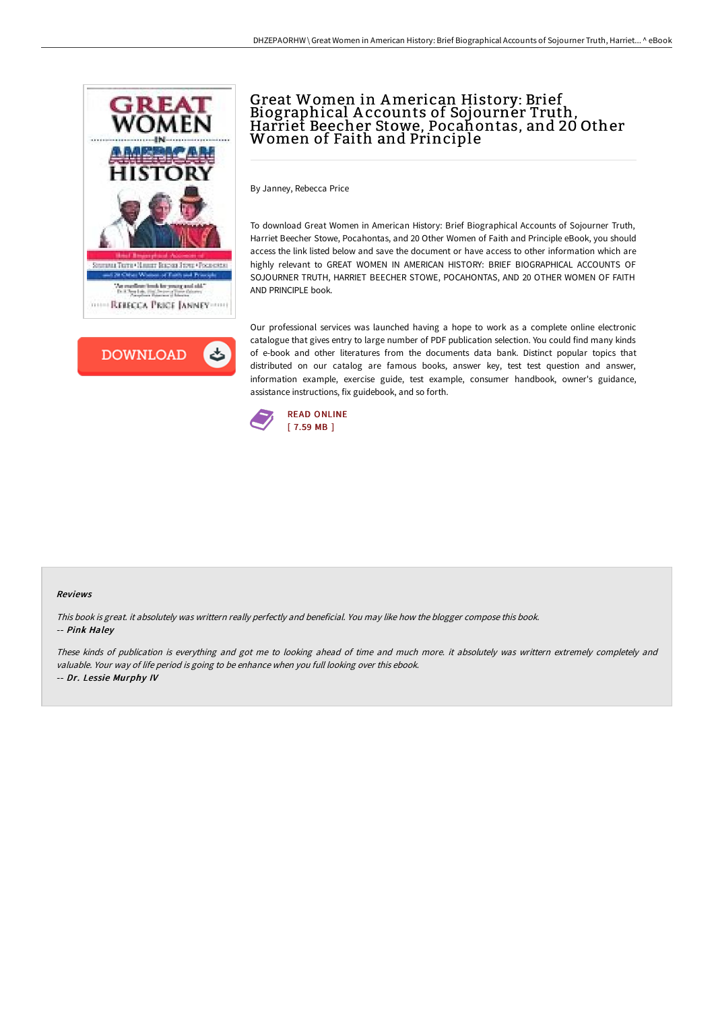



# Great Women in American History: Brief Biographical <sup>A</sup> ccounts of Sojourner Truth, Harriet Beecher Stowe, Pocahontas, and <sup>20</sup> Other Women of Faith and Principle

By Janney, Rebecca Price

To download Great Women in American History: Brief Biographical Accounts of Sojourner Truth, Harriet Beecher Stowe, Pocahontas, and 20 Other Women of Faith and Principle eBook, you should access the link listed below and save the document or have access to other information which are highly relevant to GREAT WOMEN IN AMERICAN HISTORY: BRIEF BIOGRAPHICAL ACCOUNTS OF SOJOURNER TRUTH, HARRIET BEECHER STOWE, POCAHONTAS, AND 20 OTHER WOMEN OF FAITH AND PRINCIPLE book.

Our professional services was launched having a hope to work as a complete online electronic catalogue that gives entry to large number of PDF publication selection. You could find many kinds of e-book and other literatures from the documents data bank. Distinct popular topics that distributed on our catalog are famous books, answer key, test test question and answer, information example, exercise guide, test example, consumer handbook, owner's guidance, assistance instructions, fix guidebook, and so forth.



#### Reviews

This book is great. it absolutely was writtern really perfectly and beneficial. You may like how the blogger compose this book. -- Pink Haley

These kinds of publication is everything and got me to looking ahead of time and much more. it absolutely was writtern extremely completely and valuable. Your way of life period is going to be enhance when you full looking over this ebook. -- Dr. Lessie Murphy IV